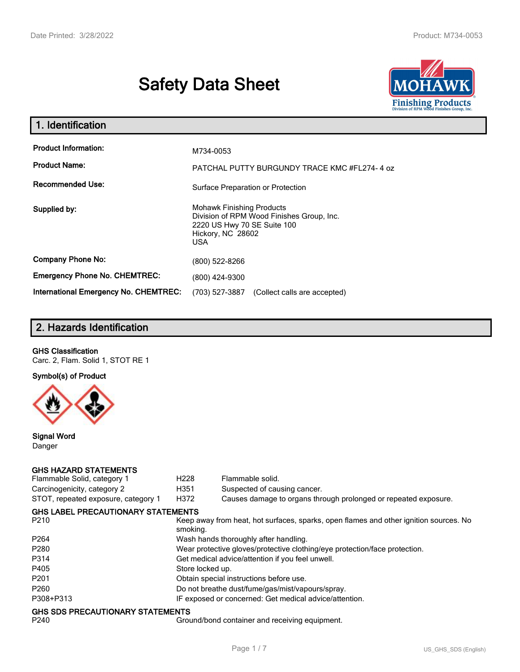# **Safety Data Sheet**



| 1. Identification                            |                                                                                                                                                 |
|----------------------------------------------|-------------------------------------------------------------------------------------------------------------------------------------------------|
| <b>Product Information:</b>                  | M734-0053                                                                                                                                       |
| <b>Product Name:</b>                         | PATCHAL PUTTY BURGUNDY TRACE KMC #FL274-4 oz                                                                                                    |
| <b>Recommended Use:</b>                      | Surface Preparation or Protection                                                                                                               |
| Supplied by:                                 | <b>Mohawk Finishing Products</b><br>Division of RPM Wood Finishes Group, Inc.<br>2220 US Hwy 70 SE Suite 100<br>Hickory, NC 28602<br><b>USA</b> |
| <b>Company Phone No:</b>                     | (800) 522-8266                                                                                                                                  |
| <b>Emergency Phone No. CHEMTREC:</b>         | (800) 424-9300                                                                                                                                  |
| <b>International Emergency No. CHEMTREC:</b> | (703) 527-3887<br>(Collect calls are accepted)                                                                                                  |

# **2. Hazards Identification**

#### **GHS Classification**

Carc. 2, Flam. Solid 1, STOT RE 1

**Symbol(s) of Product**



**Signal Word** Danger

#### **GHS HAZARD STATEMENTS**

| Flammable Solid, category 1               | H <sub>228</sub>                                                           | Flammable solid.                                                                      |  |  |
|-------------------------------------------|----------------------------------------------------------------------------|---------------------------------------------------------------------------------------|--|--|
| Carcinogenicity, category 2               | H351                                                                       | Suspected of causing cancer.                                                          |  |  |
| STOT, repeated exposure, category 1       | H372                                                                       | Causes damage to organs through prolonged or repeated exposure.                       |  |  |
| <b>GHS LABEL PRECAUTIONARY STATEMENTS</b> |                                                                            |                                                                                       |  |  |
| P <sub>210</sub>                          | smoking.                                                                   | Keep away from heat, hot surfaces, sparks, open flames and other ignition sources. No |  |  |
| P <sub>264</sub>                          |                                                                            | Wash hands thoroughly after handling.                                                 |  |  |
| P <sub>280</sub>                          | Wear protective gloves/protective clothing/eye protection/face protection. |                                                                                       |  |  |
| P314                                      | Get medical advice/attention if you feel unwell.                           |                                                                                       |  |  |
| P405                                      | Store locked up.                                                           |                                                                                       |  |  |
| P <sub>201</sub>                          |                                                                            | Obtain special instructions before use.                                               |  |  |
| P <sub>260</sub>                          |                                                                            | Do not breathe dust/fume/gas/mist/vapours/spray.                                      |  |  |
| P308+P313                                 |                                                                            | IF exposed or concerned: Get medical advice/attention.                                |  |  |
| GHS SDS PRECAUTIONARY STATEMENTS          |                                                                            |                                                                                       |  |  |

P240 Ground/bond container and receiving equipment.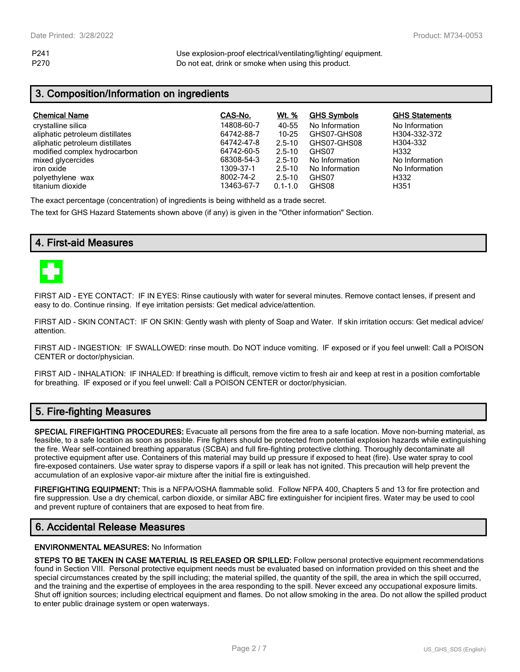P241 Use explosion-proof electrical/ventilating/lighting/ equipment. P270 Do not eat, drink or smoke when using this product.

## **3. Composition/Information on ingredients**

| <b>Chemical Name</b>            | CAS-No.    | <u>Wt. %</u> | <b>GHS Symbols</b> | <b>GHS Statements</b> |
|---------------------------------|------------|--------------|--------------------|-----------------------|
| crystalline silica              | 14808-60-7 | 40-55        | No Information     | No Information        |
| aliphatic petroleum distillates | 64742-88-7 | 10-25        | GHS07-GHS08        | H304-332-372          |
| aliphatic petroleum distillates | 64742-47-8 | $2.5 - 10$   | GHS07-GHS08        | H304-332              |
| modified complex hydrocarbon    | 64742-60-5 | $2.5 - 10$   | GHS07              | H332                  |
| mixed glycercides               | 68308-54-3 | $2.5 - 10$   | No Information     | No Information        |
| iron oxide                      | 1309-37-1  | $2.5 - 10$   | No Information     | No Information        |
| polyethylene wax                | 8002-74-2  | $2.5 - 10$   | GHS07              | H332                  |
| titanium dioxide                | 13463-67-7 | $0.1 - 1.0$  | GHS08              | H351                  |

The exact percentage (concentration) of ingredients is being withheld as a trade secret.

The text for GHS Hazard Statements shown above (if any) is given in the "Other information" Section.

## **4. First-aid Measures**



FIRST AID - EYE CONTACT: IF IN EYES: Rinse cautiously with water for several minutes. Remove contact lenses, if present and easy to do. Continue rinsing. If eye irritation persists: Get medical advice/attention.

FIRST AID - SKIN CONTACT: IF ON SKIN: Gently wash with plenty of Soap and Water. If skin irritation occurs: Get medical advice/ attention.

FIRST AID - INGESTION: IF SWALLOWED: rinse mouth. Do NOT induce vomiting. IF exposed or if you feel unwell: Call a POISON CENTER or doctor/physician.

FIRST AID - INHALATION: IF INHALED: If breathing is difficult, remove victim to fresh air and keep at rest in a position comfortable for breathing. IF exposed or if you feel unwell: Call a POISON CENTER or doctor/physician.

## **5. Fire-fighting Measures**

**SPECIAL FIREFIGHTING PROCEDURES:** Evacuate all persons from the fire area to a safe location. Move non-burning material, as feasible, to a safe location as soon as possible. Fire fighters should be protected from potential explosion hazards while extinguishing the fire. Wear self-contained breathing apparatus (SCBA) and full fire-fighting protective clothing. Thoroughly decontaminate all protective equipment after use. Containers of this material may build up pressure if exposed to heat (fire). Use water spray to cool fire-exposed containers. Use water spray to disperse vapors if a spill or leak has not ignited. This precaution will help prevent the accumulation of an explosive vapor-air mixture after the initial fire is extinguished.

**FIREFIGHTING EQUIPMENT:** This is a NFPA/OSHA flammable solid. Follow NFPA 400, Chapters 5 and 13 for fire protection and fire suppression. Use a dry chemical, carbon dioxide, or similar ABC fire extinguisher for incipient fires. Water may be used to cool and prevent rupture of containers that are exposed to heat from fire.

## **6. Accidental Release Measures**

#### **ENVIRONMENTAL MEASURES:** No Information

**STEPS TO BE TAKEN IN CASE MATERIAL IS RELEASED OR SPILLED:** Follow personal protective equipment recommendations found in Section VIII. Personal protective equipment needs must be evaluated based on information provided on this sheet and the special circumstances created by the spill including; the material spilled, the quantity of the spill, the area in which the spill occurred, and the training and the expertise of employees in the area responding to the spill. Never exceed any occupational exposure limits. Shut off ignition sources; including electrical equipment and flames. Do not allow smoking in the area. Do not allow the spilled product to enter public drainage system or open waterways.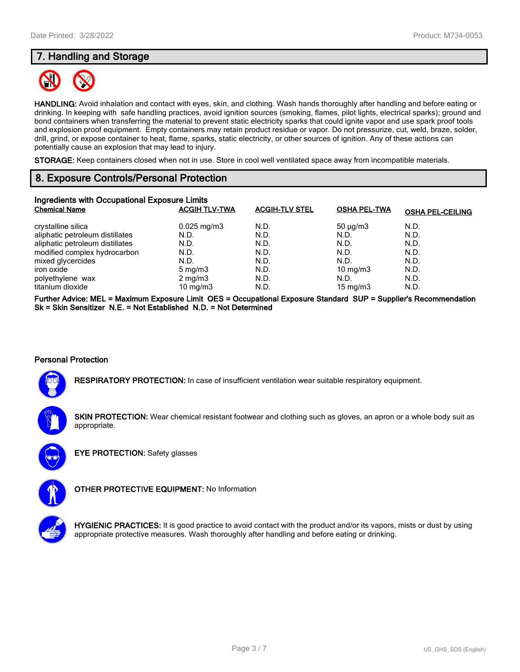## **7. Handling and Storage**



**HANDLING:** Avoid inhalation and contact with eyes, skin, and clothing. Wash hands thoroughly after handling and before eating or drinking. In keeping with safe handling practices, avoid ignition sources (smoking, flames, pilot lights, electrical sparks); ground and bond containers when transferring the material to prevent static electricity sparks that could ignite vapor and use spark proof tools and explosion proof equipment. Empty containers may retain product residue or vapor. Do not pressurize, cut, weld, braze, solder, drill, grind, or expose container to heat, flame, sparks, static electricity, or other sources of ignition. Any of these actions can potentially cause an explosion that may lead to injury.

**STORAGE:** Keep containers closed when not in use. Store in cool well ventilated space away from incompatible materials.

## **8. Exposure Controls/Personal Protection**

| Ingredients with Occupational Exposure Limits<br><b>Chemical Name</b> | <b>ACGIH TLV-TWA</b>   | <b>ACGIH-TLV STEL</b> | <b>OSHA PEL-TWA</b> | <b>OSHA PEL-CEILING</b> |
|-----------------------------------------------------------------------|------------------------|-----------------------|---------------------|-------------------------|
| crystalline silica                                                    | $0.025 \text{ mg/m}$ 3 | N.D.                  | $50 \mu q/m3$       | N.D.                    |
| aliphatic petroleum distillates                                       | N.D.                   | N.D.                  | N.D.                | N.D.                    |
| aliphatic petroleum distillates                                       | N.D.                   | N.D.                  | N.D.                | N.D.                    |
| modified complex hydrocarbon                                          | N.D.                   | N.D.                  | N.D.                | N.D.                    |
| mixed glycercides                                                     | N.D.                   | N.D.                  | N.D.                | N.D.                    |
| iron oxide                                                            | $5 \text{ mg/m}$       | N.D.                  | $10 \text{ mg/m}$   | N.D.                    |
| polyethylene wax                                                      | $2 \text{ mg/m}$       | N.D.                  | N.D.                | N.D.                    |
| titanium dioxide                                                      | $10 \text{ mg/m}$      | N.D.                  | $15 \text{ mg/m}$   | N.D.                    |

**Further Advice: MEL = Maximum Exposure Limit OES = Occupational Exposure Standard SUP = Supplier's Recommendation Sk = Skin Sensitizer N.E. = Not Established N.D. = Not Determined**

## **Personal Protection**

**RESPIRATORY PROTECTION:** In case of insufficient ventilation wear suitable respiratory equipment.

**SKIN PROTECTION:** Wear chemical resistant footwear and clothing such as gloves, an apron or a whole body suit as appropriate.



**EYE PROTECTION:** Safety glasses



**OTHER PROTECTIVE EQUIPMENT:** No Information



**HYGIENIC PRACTICES:** It is good practice to avoid contact with the product and/or its vapors, mists or dust by using appropriate protective measures. Wash thoroughly after handling and before eating or drinking.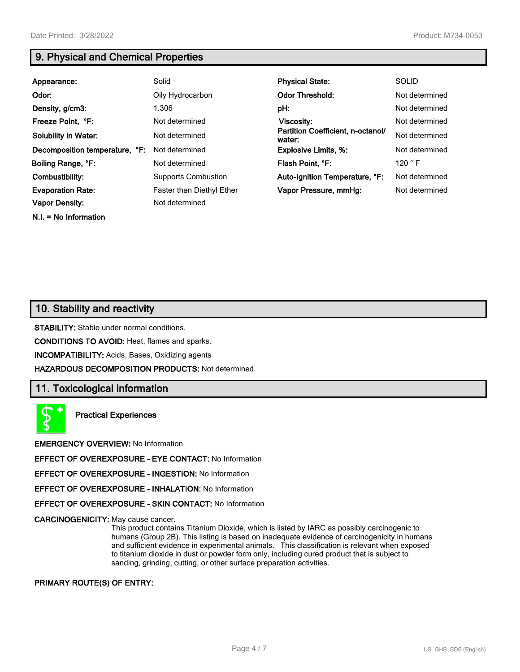**N.I. = No Information**

## **9. Physical and Chemical Properties**

| Appearance:                    | Solid                            | <b>Physical State:</b>                      | <b>SOLID</b>   |
|--------------------------------|----------------------------------|---------------------------------------------|----------------|
| Odor:                          | Oily Hydrocarbon                 | <b>Odor Threshold:</b>                      | Not determined |
| Density, g/cm3:                | 1.306                            | pH:                                         | Not determined |
| Freeze Point, °F:              | Not determined                   | <b>Viscosity:</b>                           | Not determined |
| <b>Solubility in Water:</b>    | Not determined                   | Partition Coefficient, n-octanol/<br>water: | Not determined |
| Decomposition temperature, °F: | Not determined                   | <b>Explosive Limits, %:</b>                 | Not determined |
| Boiling Range, °F:             | Not determined                   | Flash Point, °F:                            | 120 °F         |
| Combustibility:                | <b>Supports Combustion</b>       | Auto-Ignition Temperature, °F:              | Not determined |
| <b>Evaporation Rate:</b>       | <b>Faster than Diethyl Ether</b> | Vapor Pressure, mmHg:                       | Not determined |
| <b>Vapor Density:</b>          | Not determined                   |                                             |                |

## **10. Stability and reactivity**

**STABILITY:** Stable under normal conditions.

**CONDITIONS TO AVOID:** Heat, flames and sparks.

**INCOMPATIBILITY:** Acids, Bases, Oxidizing agents

**HAZARDOUS DECOMPOSITION PRODUCTS:** Not determined.

## **11. Toxicological information**

**Practical Experiences**

**EMERGENCY OVERVIEW:** No Information

**EFFECT OF OVEREXPOSURE - EYE CONTACT:** No Information

**EFFECT OF OVEREXPOSURE - INGESTION:** No Information

**EFFECT OF OVEREXPOSURE - INHALATION:** No Information

**EFFECT OF OVEREXPOSURE - SKIN CONTACT:** No Information

**CARCINOGENICITY:** May cause cancer.

This product contains Titanium Dioxide, which is listed by IARC as possibly carcinogenic to humans (Group 2B). This listing is based on inadequate evidence of carcinogenicity in humans and sufficient evidence in experimental animals. This classification is relevant when exposed to titanium dioxide in dust or powder form only, including cured product that is subject to sanding, grinding, cutting, or other surface preparation activities.

#### **PRIMARY ROUTE(S) OF ENTRY:**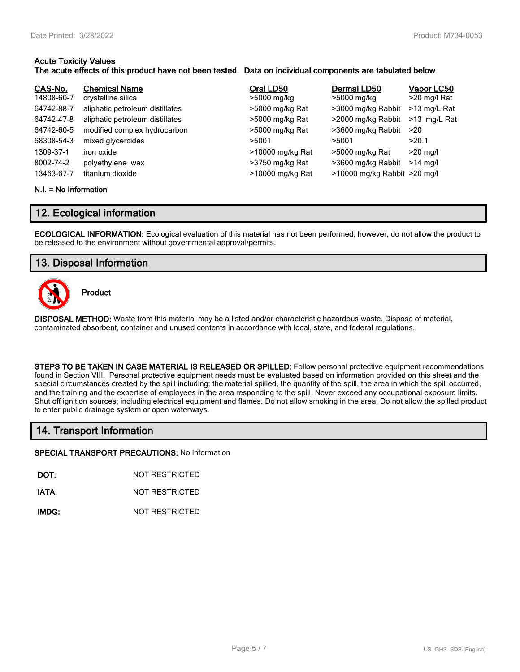### **Acute Toxicity Values**

## **The acute effects of this product have not been tested. Data on individual components are tabulated below**

| CAS-No.                              | <b>Chemical Name</b>                               | Oral LD50                                               | Dermal LD50                                                           | Vapor LC50               |
|--------------------------------------|----------------------------------------------------|---------------------------------------------------------|-----------------------------------------------------------------------|--------------------------|
| 14808-60-7                           | crystalline silica                                 | >5000 mg/kg                                             | >5000 mg/kg                                                           | >20 mg/l Rat             |
| 64742-88-7                           | aliphatic petroleum distillates                    | >5000 mg/kg Rat                                         | >3000 mg/kg Rabbit                                                    | >13 mg/L Rat             |
| 64742-47-8                           | aliphatic petroleum distillates                    | >5000 mg/kg Rat                                         | >2000 mg/kg Rabbit                                                    | >13 mg/L Rat             |
| 64742-60-5                           | modified complex hydrocarbon                       | >5000 mg/kg Rat                                         | >3600 mg/kg Rabbit                                                    | >20                      |
| 68308-54-3                           | mixed glycercides                                  | >5001                                                   | >5001                                                                 | >20.1                    |
| 1309-37-1<br>8002-74-2<br>13463-67-7 | iron oxide<br>polyethylene wax<br>titanium dioxide | >10000 mg/kg Rat<br>>3750 mg/kg Rat<br>>10000 mg/kg Rat | >5000 mg/kg Rat<br>>3600 mg/kg Rabbit<br>>10000 mg/kg Rabbit >20 mg/l | $>20$ mg/l<br>$>14$ mg/l |

#### **N.I. = No Information**

## **12. Ecological information**

**ECOLOGICAL INFORMATION:** Ecological evaluation of this material has not been performed; however, do not allow the product to be released to the environment without governmental approval/permits.

## **13. Disposal Information**



**Product**

**DISPOSAL METHOD:** Waste from this material may be a listed and/or characteristic hazardous waste. Dispose of material, contaminated absorbent, container and unused contents in accordance with local, state, and federal regulations.

**STEPS TO BE TAKEN IN CASE MATERIAL IS RELEASED OR SPILLED:** Follow personal protective equipment recommendations found in Section VIII. Personal protective equipment needs must be evaluated based on information provided on this sheet and the special circumstances created by the spill including; the material spilled, the quantity of the spill, the area in which the spill occurred, and the training and the expertise of employees in the area responding to the spill. Never exceed any occupational exposure limits. Shut off ignition sources; including electrical equipment and flames. Do not allow smoking in the area. Do not allow the spilled product to enter public drainage system or open waterways.

## **14. Transport Information**

**SPECIAL TRANSPORT PRECAUTIONS:** No Information

**DOT:** NOT RESTRICTED

**IATA:** NOT RESTRICTED

**IMDG:** NOT RESTRICTED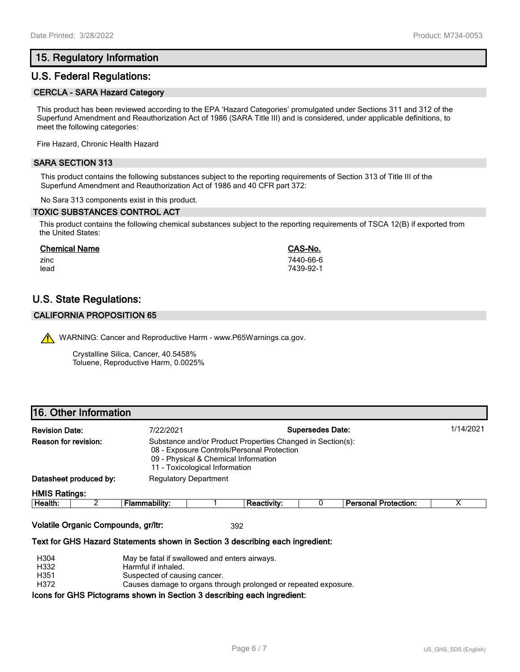# **15. Regulatory Information**

## **U.S. Federal Regulations:**

#### **CERCLA - SARA Hazard Category**

This product has been reviewed according to the EPA 'Hazard Categories' promulgated under Sections 311 and 312 of the Superfund Amendment and Reauthorization Act of 1986 (SARA Title III) and is considered, under applicable definitions, to meet the following categories:

Fire Hazard, Chronic Health Hazard

### **SARA SECTION 313**

This product contains the following substances subject to the reporting requirements of Section 313 of Title III of the Superfund Amendment and Reauthorization Act of 1986 and 40 CFR part 372:

No Sara 313 components exist in this product.

#### **TOXIC SUBSTANCES CONTROL ACT**

This product contains the following chemical substances subject to the reporting requirements of TSCA 12(B) if exported from the United States:

| <b>Chemical Name</b> | CAS-No.   |
|----------------------|-----------|
| zinc                 | 7440-66-6 |
| lead                 | 7439-92-1 |

## **U.S. State Regulations:**

#### **CALIFORNIA PROPOSITION 65**

WARNING: Cancer and Reproductive Harm - www.P65Warnings.ca.gov.

Crystalline Silica, Cancer, 40.5458% Toluene, Reproductive Harm, 0.0025%

## **16. Other Information**

| <b>Revision Date:</b>  | 7/22/2021                                                              |                                                                                                          | <b>Supersedes Date:</b> |  | 1/14/2021 |
|------------------------|------------------------------------------------------------------------|----------------------------------------------------------------------------------------------------------|-------------------------|--|-----------|
| Reason for revision:   | 09 - Physical & Chemical Information<br>11 - Toxicological Information | Substance and/or Product Properties Changed in Section(s):<br>08 - Exposure Controls/Personal Protection |                         |  |           |
| Datasheet produced by: | <b>Regulatory Department</b>                                           |                                                                                                          |                         |  |           |
| <b>HMIS Ratings:</b>   |                                                                        |                                                                                                          |                         |  |           |

| Health. | _ | . ability | ⊹activity: | Protection:<br>Damanal<br>ווסווענ |  |
|---------|---|-----------|------------|-----------------------------------|--|
|         |   |           |            |                                   |  |

#### **Volatile Organic Compounds, gr/ltr:** 392

#### **Text for GHS Hazard Statements shown in Section 3 describing each ingredient:**

| H <sub>304</sub> | May be fatal if swallowed and enters airways.                           |
|------------------|-------------------------------------------------------------------------|
| H332             | Harmful if inhaled.                                                     |
| H351             | Suspected of causing cancer.                                            |
| H372             | Causes damage to organs through prolonged or repeated exposure.         |
|                  | Icons for GHS Pictograms shown in Section 3 describing each ingredient: |